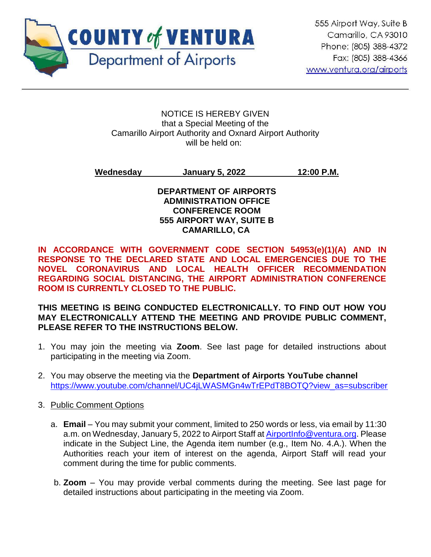

#### NOTICE IS HEREBY GIVEN that a Special Meeting of the Camarillo Airport Authority and Oxnard Airport Authority will be held on:

**Wednesday January 5, 2022 12:00 P.M.**

#### **DEPARTMENT OF AIRPORTS ADMINISTRATION OFFICE CONFERENCE ROOM 555 AIRPORT WAY, SUITE B CAMARILLO, CA**

**IN ACCORDANCE WITH GOVERNMENT CODE SECTION 54953(e)(1)(A) AND IN RESPONSE TO THE DECLARED STATE AND LOCAL EMERGENCIES DUE TO THE NOVEL CORONAVIRUS AND LOCAL HEALTH OFFICER RECOMMENDATION REGARDING SOCIAL DISTANCING, THE AIRPORT ADMINISTRATION CONFERENCE ROOM IS CURRENTLY CLOSED TO THE PUBLIC.** 

**THIS MEETING IS BEING CONDUCTED ELECTRONICALLY. TO FIND OUT HOW YOU MAY ELECTRONICALLY ATTEND THE MEETING AND PROVIDE PUBLIC COMMENT, PLEASE REFER TO THE INSTRUCTIONS BELOW.** 

- 1. You may join the meeting via **Zoom**. See last page for detailed instructions about participating in the meeting via Zoom.
- 2. You may observe the meeting via the **Department of Airports YouTube channel** [https://www.youtube.com/channel/UC4jLWASMGn4wTrEPdT8BOTQ?view\\_as=subscriber](https://www.youtube.com/channel/UC4jLWASMGn4wTrEPdT8BOTQ?view_as=subscriber)
- 3. Public Comment Options
	- a. **Email**  You may submit your comment, limited to 250 words or less, via email by 11:30 a.m. on Wednesday, January 5, 2022 to Airport Staff at [AirportInfo@ventura.org.](mailto:AirportInfo@ventura.org) Please indicate in the Subject Line, the Agenda item number (e.g., Item No. 4.A.). When the Authorities reach your item of interest on the agenda, Airport Staff will read your comment during the time for public comments.
	- b. **Zoom** You may provide verbal comments during the meeting. See last page for detailed instructions about participating in the meeting via Zoom.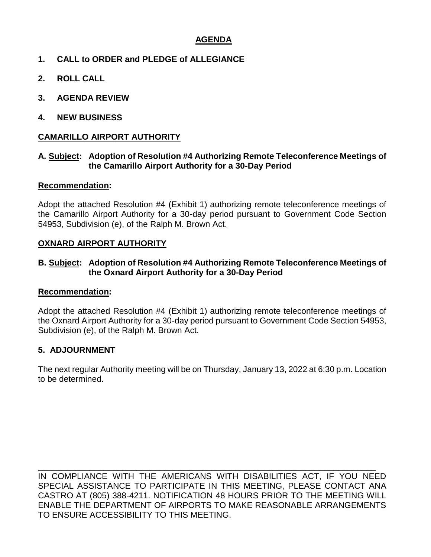### **AGENDA**

- **1. CALL to ORDER and PLEDGE of ALLEGIANCE**
- **2. ROLL CALL**
- **3. AGENDA REVIEW**
- **4. NEW BUSINESS**

#### **CAMARILLO AIRPORT AUTHORITY**

#### **A. Subject: Adoption of Resolution #4 Authorizing Remote Teleconference Meetings of the Camarillo Airport Authority for a 30-Day Period**

#### **Recommendation:**

Adopt the attached Resolution #4 (Exhibit 1) authorizing remote teleconference meetings of the Camarillo Airport Authority for a 30-day period pursuant to Government Code Section 54953, Subdivision (e), of the Ralph M. Brown Act.

#### **OXNARD AIRPORT AUTHORITY**

#### **B. Subject: Adoption of Resolution #4 Authorizing Remote Teleconference Meetings of the Oxnard Airport Authority for a 30-Day Period**

#### **Recommendation:**

Adopt the attached Resolution #4 (Exhibit 1) authorizing remote teleconference meetings of the Oxnard Airport Authority for a 30-day period pursuant to Government Code Section 54953, Subdivision (e), of the Ralph M. Brown Act.

#### **5. ADJOURNMENT**

The next regular Authority meeting will be on Thursday, January 13, 2022 at 6:30 p.m. Location to be determined.

\_\_\_\_\_\_\_\_\_\_\_\_\_\_\_\_\_\_\_\_\_\_\_\_\_\_\_\_\_\_\_\_\_\_\_\_\_\_\_\_\_\_\_\_\_\_\_\_\_\_\_\_\_\_\_\_\_\_\_\_\_\_\_\_\_\_\_\_\_\_\_\_ IN COMPLIANCE WITH THE AMERICANS WITH DISABILITIES ACT, IF YOU NEED SPECIAL ASSISTANCE TO PARTICIPATE IN THIS MEETING, PLEASE CONTACT ANA CASTRO AT (805) 388-4211. NOTIFICATION 48 HOURS PRIOR TO THE MEETING WILL ENABLE THE DEPARTMENT OF AIRPORTS TO MAKE REASONABLE ARRANGEMENTS TO ENSURE ACCESSIBILITY TO THIS MEETING.